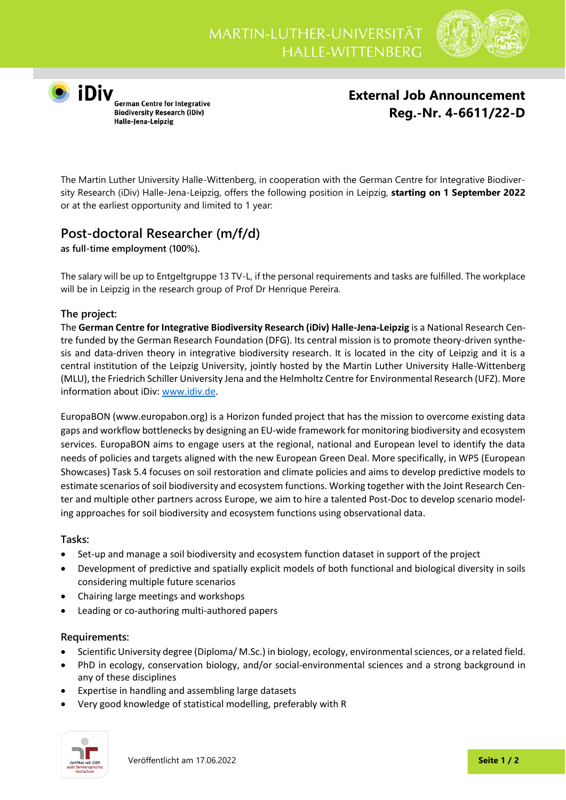

**O**<br> **iDiv**<br>
German Centre for Integrative<br>
Biodiversity Research (iDiv) Halle-Jena-Leipzig

**External Job Announcement Reg.-Nr. 4-6611/22-D**

The Martin Luther University Halle-Wittenberg, in cooperation with the German Centre for Integrative Biodiversity Research (iDiv) Halle-Jena-Leipzig, offers the following position in Leipzig, **starting on 1 September 2022** or at the earliest opportunity and limited to 1 year:

## **Post-doctoral Researcher (m/f/d)**

**as full-time employment (100%)***.*

The salary will be up to Entgeltgruppe 13 TV-L, if the personal requirements and tasks are fulfilled. The workplace will be in Leipzig in the research group of Prof Dr Henrique Pereira.

## **The project:**

The **German Centre for Integrative Biodiversity Research (iDiv) Halle-Jena-Leipzig** is a National Research Centre funded by the German Research Foundation (DFG). Its central mission is to promote theory-driven synthesis and data-driven theory in integrative biodiversity research. It is located in the city of Leipzig and it is a central institution of the Leipzig University, jointly hosted by the Martin Luther University Halle-Wittenberg (MLU), the Friedrich Schiller University Jena and the Helmholtz Centre for Environmental Research (UFZ). More information about iDiv[: www.idiv.de.](http://www.idiv.de/)

EuropaBON (www.europabon.org) is a Horizon funded project that has the mission to overcome existing data gaps and workflow bottlenecks by designing an EU-wide framework for monitoring biodiversity and ecosystem services. EuropaBON aims to engage users at the regional, national and European level to identify the data needs of policies and targets aligned with the new European Green Deal. More specifically, in WP5 (European Showcases) Task 5.4 focuses on soil restoration and climate policies and aims to develop predictive models to estimate scenarios of soil biodiversity and ecosystem functions. Working together with the Joint Research Center and multiple other partners across Europe, we aim to hire a talented Post-Doc to develop scenario modeling approaches for soil biodiversity and ecosystem functions using observational data.

## **Tasks:**

- Set-up and manage a soil biodiversity and ecosystem function dataset in support of the project
- Development of predictive and spatially explicit models of both functional and biological diversity in soils considering multiple future scenarios
- Chairing large meetings and workshops
- Leading or co-authoring multi-authored papers

## **Requirements:**

- Scientific University degree (Diploma/ M.Sc.) in biology, ecology, environmental sciences, or a related field.
- PhD in ecology, conservation biology, and/or social-environmental sciences and a strong background in any of these disciplines
- Expertise in handling and assembling large datasets
- Very good knowledge of statistical modelling, preferably with R